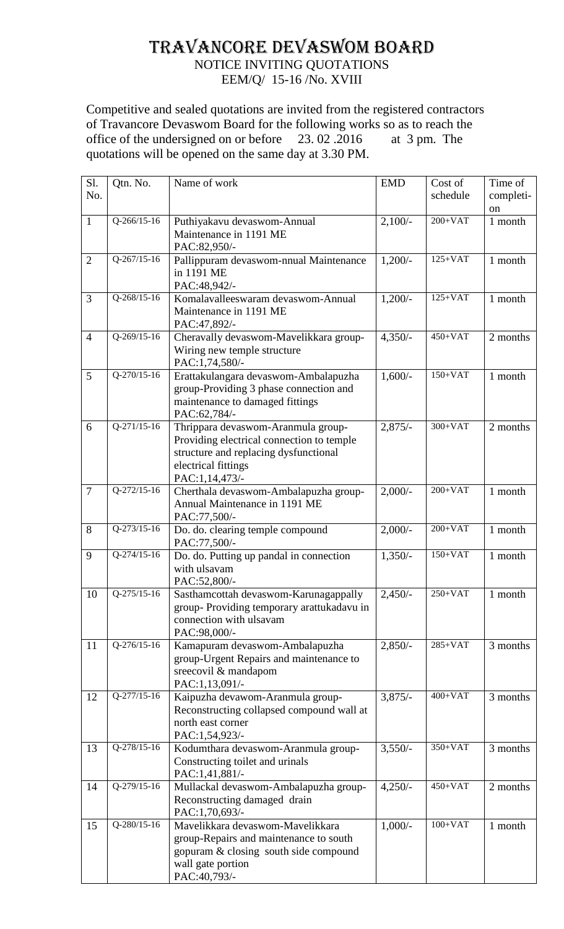## TRAVANCORE DEVASWOM BOARD NOTICE INVITING QUOTATIONS

EEM/Q/ 15-16 /No. XVIII

Competitive and sealed quotations are invited from the registered contractors of Travancore Devaswom Board for the following works so as to reach the office of the undersigned on or before 23. 02 .2016 at 3 pm. The quotations will be opened on the same day at 3.30 PM.

| Sl.<br>No.     | Qtn. No.      | Name of work                                                                                                                                                      | <b>EMD</b> | Cost of<br>schedule  | Time of<br>completi-<br><sub>on</sub> |
|----------------|---------------|-------------------------------------------------------------------------------------------------------------------------------------------------------------------|------------|----------------------|---------------------------------------|
| $\mathbf{1}$   | $Q-266/15-16$ | Puthiyakavu devaswom-Annual<br>Maintenance in 1191 ME<br>PAC:82,950/-                                                                                             | $2,100/-$  | $200+VAT$            | 1 month                               |
| $\overline{2}$ | $Q-267/15-16$ | Pallippuram devaswom-nnual Maintenance<br>in 1191 ME<br>PAC:48,942/-                                                                                              | $1,200/-$  | $125+VAT$            | 1 month                               |
| 3              | $Q-268/15-16$ | Komalavalleeswaram devaswom-Annual<br>Maintenance in 1191 ME<br>PAC:47,892/-                                                                                      | $1,200/-$  | $125+VAT$            | 1 month                               |
| $\overline{4}$ | Q-269/15-16   | Cheravally devaswom-Mavelikkara group-<br>Wiring new temple structure<br>PAC:1,74,580/-                                                                           | $4,350/-$  | $450+VAT$            | 2 months                              |
| 5              | $Q-270/15-16$ | Erattakulangara devaswom-Ambalapuzha<br>group-Providing 3 phase connection and<br>maintenance to damaged fittings<br>PAC:62,784/-                                 | $1,600/-$  | $150+VAT$            | 1 month                               |
| 6              | $Q-271/15-16$ | Thrippara devaswom-Aranmula group-<br>Providing electrical connection to temple<br>structure and replacing dysfunctional<br>electrical fittings<br>PAC:1,14,473/- | $2,875/-$  | $300+VAT$            | 2 months                              |
| $\overline{7}$ | $Q-272/15-16$ | Cherthala devaswom-Ambalapuzha group-<br>Annual Maintenance in 1191 ME<br>PAC:77,500/-                                                                            | $2,000/$ - | $200+VAT$            | 1 month                               |
| 8              | $Q-273/15-16$ | Do. do. clearing temple compound<br>PAC:77,500/-                                                                                                                  | $2,000/-$  | $200+VAT$            | 1 month                               |
| 9              | $Q-274/15-16$ | Do. do. Putting up pandal in connection<br>with ulsavam<br>PAC:52,800/-                                                                                           | $1,350/-$  | $150+VAT$            | 1 month                               |
| 10             | $Q-275/15-16$ | Sasthamcottah devaswom-Karunagappally<br>group-Providing temporary arattukadavu in<br>connection with ulsavam<br>PAC:98,000/-                                     | $2,450/-$  | $250+VAT$            | $1 \ \mathsf{month}$                  |
| 11             | $Q-276/15-16$ | Kamapuram devaswom-Ambalapuzha<br>group-Urgent Repairs and maintenance to<br>sreecovil & mandapom<br>PAC:1,13,091/-                                               | $2,850/-$  | $285+VAT$            | 3 months                              |
| 12             | $Q-277/15-16$ | Kaipuzha devawom-Aranmula group-<br>Reconstructing collapsed compound wall at<br>north east corner<br>PAC:1,54,923/-                                              | $3,875/-$  | $400+VAT$            | 3 months                              |
| 13             | Q-278/15-16   | Kodumthara devaswom-Aranmula group-<br>Constructing toilet and urinals<br>PAC:1,41,881/-                                                                          | $3,550/-$  | 350+VAT              | 3 months                              |
| 14             | $Q-279/15-16$ | Mullackal devaswom-Ambalapuzha group-<br>Reconstructing damaged drain<br>PAC:1,70,693/-                                                                           | $4,250/-$  | $450+VAT$            | 2 months                              |
| 15             | Q-280/15-16   | Mavelikkara devaswom-Mavelikkara<br>group-Repairs and maintenance to south<br>gopuram & closing south side compound<br>wall gate portion<br>PAC:40,793/-          | $1,000/-$  | $100+\overline{VAT}$ | 1 month                               |